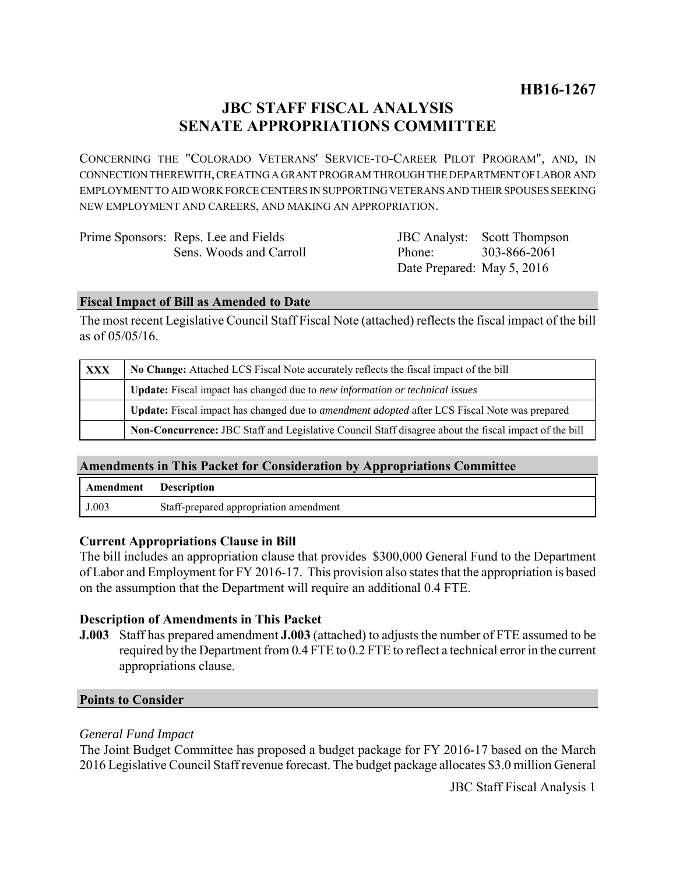# **JBC STAFF FISCAL ANALYSIS SENATE APPROPRIATIONS COMMITTEE**

CONCERNING THE "COLORADO VETERANS' SERVICE-TO-CAREER PILOT PROGRAM", AND, IN CONNECTION THEREWITH, CREATING A GRANT PROGRAM THROUGH THE DEPARTMENT OF LABOR AND EMPLOYMENT TO AID WORK FORCE CENTERS IN SUPPORTING VETERANS AND THEIR SPOUSES SEEKING NEW EMPLOYMENT AND CAREERS, AND MAKING AN APPROPRIATION.

| Prime Sponsors: Reps. Lee and Fields |                            | <b>JBC</b> Analyst: Scott Thompson |
|--------------------------------------|----------------------------|------------------------------------|
| Sens. Woods and Carroll              | Phone: 303-866-2061        |                                    |
|                                      | Date Prepared: May 5, 2016 |                                    |

#### **Fiscal Impact of Bill as Amended to Date**

The most recent Legislative Council Staff Fiscal Note (attached) reflects the fiscal impact of the bill as of 05/05/16.

| <b>XXX</b> | No Change: Attached LCS Fiscal Note accurately reflects the fiscal impact of the bill                       |
|------------|-------------------------------------------------------------------------------------------------------------|
|            | <b>Update:</b> Fiscal impact has changed due to new information or technical issues                         |
|            | <b>Update:</b> Fiscal impact has changed due to <i>amendment adopted</i> after LCS Fiscal Note was prepared |
|            | Non-Concurrence: JBC Staff and Legislative Council Staff disagree about the fiscal impact of the bill       |

## **Amendments in This Packet for Consideration by Appropriations Committee**

| Amendment | <b>Description</b>                     |
|-----------|----------------------------------------|
| J.003     | Staff-prepared appropriation amendment |

## **Current Appropriations Clause in Bill**

The bill includes an appropriation clause that provides \$300,000 General Fund to the Department of Labor and Employment for FY 2016-17. This provision also states that the appropriation is based on the assumption that the Department will require an additional 0.4 FTE.

## **Description of Amendments in This Packet**

**J.003** Staff has prepared amendment **J.003** (attached) to adjusts the number of FTE assumed to be required by the Department from 0.4 FTE to 0.2 FTE to reflect a technical error in the current appropriations clause.

#### **Points to Consider**

## *General Fund Impact*

The Joint Budget Committee has proposed a budget package for FY 2016-17 based on the March 2016 Legislative Council Staff revenue forecast. The budget package allocates \$3.0 million General